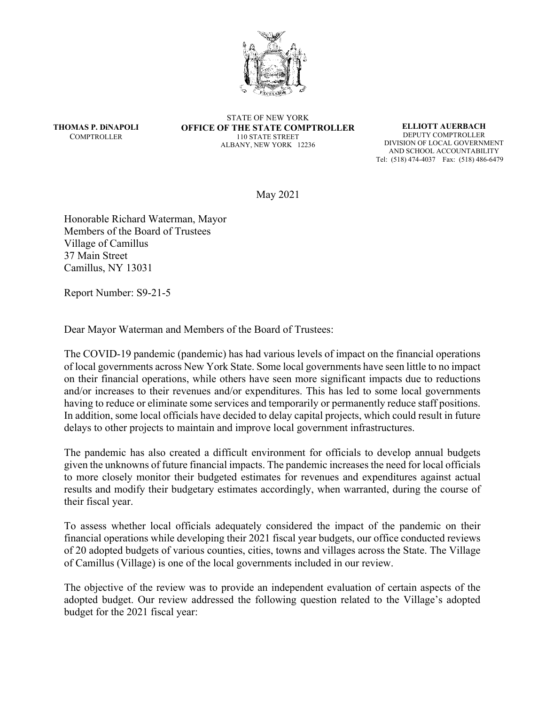

**THOMAS P. DiNAPOLI COMPTROLLER** 

STATE OF NEW YORK **OFFICE OF THE STATE COMPTROLLER**  110 STATE STREET ALBANY, NEW YORK 12236

**ELLIOTT AUERBACH**  DEPUTY COMPTROLLER DIVISION OF LOCAL GOVERNMENT AND SCHOOL ACCOUNTABILITY Tel: (518) 474-4037 Fax: (518) 486-6479

May 2021

Honorable Richard Waterman, Mayor Members of the Board of Trustees Village of Camillus 37 Main Street Camillus, NY 13031

Report Number: S9-21-5

Dear Mayor Waterman and Members of the Board of Trustees:

The COVID-19 pandemic (pandemic) has had various levels of impact on the financial operations of local governments across New York State. Some local governments have seen little to no impact on their financial operations, while others have seen more significant impacts due to reductions and/or increases to their revenues and/or expenditures. This has led to some local governments having to reduce or eliminate some services and temporarily or permanently reduce staff positions. In addition, some local officials have decided to delay capital projects, which could result in future delays to other projects to maintain and improve local government infrastructures.

The pandemic has also created a difficult environment for officials to develop annual budgets given the unknowns of future financial impacts. The pandemic increases the need for local officials to more closely monitor their budgeted estimates for revenues and expenditures against actual results and modify their budgetary estimates accordingly, when warranted, during the course of their fiscal year.

To assess whether local officials adequately considered the impact of the pandemic on their financial operations while developing their 2021 fiscal year budgets, our office conducted reviews of 20 adopted budgets of various counties, cities, towns and villages across the State. The Village of Camillus (Village) is one of the local governments included in our review.

The objective of the review was to provide an independent evaluation of certain aspects of the adopted budget. Our review addressed the following question related to the Village's adopted budget for the 2021 fiscal year: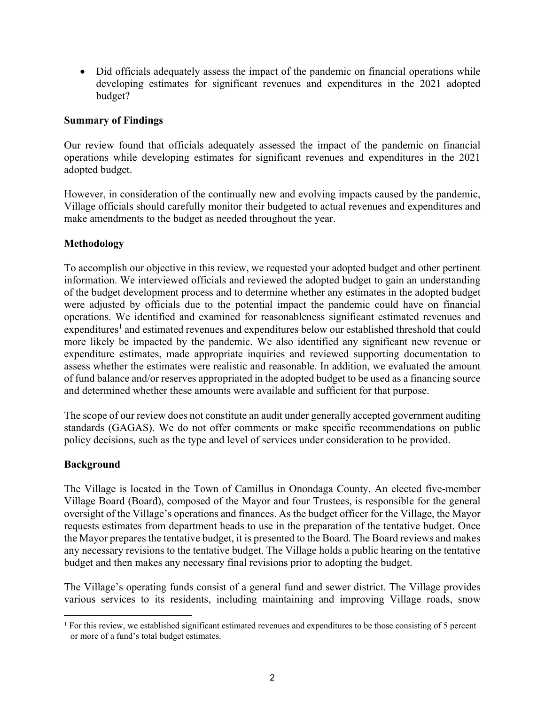Did officials adequately assess the impact of the pandemic on financial operations while developing estimates for significant revenues and expenditures in the 2021 adopted budget?

## **Summary of Findings**

Our review found that officials adequately assessed the impact of the pandemic on financial operations while developing estimates for significant revenues and expenditures in the 2021 adopted budget.

However, in consideration of the continually new and evolving impacts caused by the pandemic, Village officials should carefully monitor their budgeted to actual revenues and expenditures and make amendments to the budget as needed throughout the year.

## **Methodology**

To accomplish our objective in this review, we requested your adopted budget and other pertinent information. We interviewed officials and reviewed the adopted budget to gain an understanding of the budget development process and to determine whether any estimates in the adopted budget were adjusted by officials due to the potential impact the pandemic could have on financial operations. We identified and examined for reasonableness significant estimated revenues and expenditures<sup>1</sup> and estimated revenues and expenditures below our established threshold that could more likely be impacted by the pandemic. We also identified any significant new revenue or expenditure estimates, made appropriate inquiries and reviewed supporting documentation to assess whether the estimates were realistic and reasonable. In addition, we evaluated the amount of fund balance and/or reserves appropriated in the adopted budget to be used as a financing source and determined whether these amounts were available and sufficient for that purpose.

The scope of our review does not constitute an audit under generally accepted government auditing standards (GAGAS). We do not offer comments or make specific recommendations on public policy decisions, such as the type and level of services under consideration to be provided.

## **Background**

The Village is located in the Town of Camillus in Onondaga County. An elected five-member Village Board (Board), composed of the Mayor and four Trustees, is responsible for the general oversight of the Village's operations and finances. As the budget officer for the Village, the Mayor requests estimates from department heads to use in the preparation of the tentative budget. Once the Mayor prepares the tentative budget, it is presented to the Board. The Board reviews and makes any necessary revisions to the tentative budget. The Village holds a public hearing on the tentative budget and then makes any necessary final revisions prior to adopting the budget.

The Village's operating funds consist of a general fund and sewer district. The Village provides various services to its residents, including maintaining and improving Village roads, snow

<sup>&</sup>lt;sup>1</sup> For this review, we established significant estimated revenues and expenditures to be those consisting of 5 percent or more of a fund's total budget estimates.